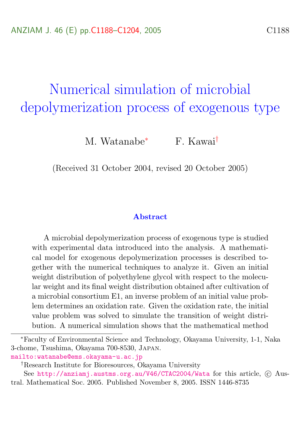# <span id="page-0-0"></span>Numerical simulation of microbial depolymerization process of exogenous type

M. Watanabe<sup>∗</sup> F. Kawai†

(Received 31 October 2004, revised 20 October 2005)

#### Abstract

A microbial depolymerization process of exogenous type is studied with experimental data introduced into the analysis. A mathematical model for exogenous depolymerization processes is described together with the numerical techniques to analyze it. Given an initial weight distribution of polyethylene glycol with respect to the molecular weight and its final weight distribution obtained after cultivation of a microbial consortium E1, an inverse problem of an initial value problem determines an oxidation rate. Given the oxidation rate, the initial value problem was solved to simulate the transition of weight distribution. A numerical simulation shows that the mathematical method

<mailto:watanabe@ems.okayama-u.ac.jp>

<sup>∗</sup>Faculty of Environmental Science and Technology, Okayama University, 1-1, Naka 3-chome, Tsushima, Okayama 700-8530, Japan.

<sup>†</sup>Research Institute for Bioresources, Okayama University

See <http://anziamj.austms.org.au/V46/CTAC2004/Wata> for this article, © Austral. Mathematical Soc. 2005. Published November 8, 2005. ISSN 1446-8735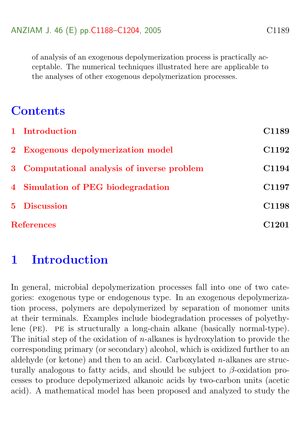of analysis of an exogenous depolymerization process is practically acceptable. The numerical techniques illustrated here are applicable to the analyses of other exogenous depolymerization processes.

# **Contents**

| 1 Introduction                              | C1189             |
|---------------------------------------------|-------------------|
| 2 Exogenous depolymerization model          | C1192             |
| 3 Computational analysis of inverse problem | C1194             |
| 4 Simulation of PEG biodegradation          | C1197             |
| 5 Discussion                                | C1198             |
| <b>References</b>                           | C <sub>1201</sub> |

# <span id="page-1-0"></span>1 Introduction

In general, microbial depolymerization processes fall into one of two categories: exogenous type or endogenous type. In an exogenous depolymerization process, polymers are depolymerized by separation of monomer units at their terminals. Examples include biodegradation processes of polyethylene (pe). pe is structurally a long-chain alkane (basically normal-type). The initial step of the oxidation of  $n$ -alkanes is hydroxylation to provide the corresponding primary (or secondary) alcohol, which is oxidized further to an aldehyde (or ketone) and then to an acid. Carboxylated  $n$ -alkanes are structurally analogous to fatty acids, and should be subject to  $\beta$ -oxidation processes to produce depolymerized alkanoic acids by two-carbon units (acetic acid). A mathematical model has been proposed and analyzed to study the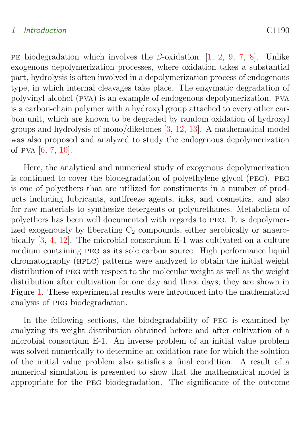#### <span id="page-2-0"></span>1 Introduction C1190

PE biodegradation which involves the  $\beta$ -oxidation. [\[1,](#page-13-1) [2,](#page-15-0) [9,](#page-16-0) [7,](#page-15-1) [8\]](#page-15-2). Unlike exogenous depolymerization processes, where oxidation takes a substantial part, hydrolysis is often involved in a depolymerization process of endogenous type, in which internal cleavages take place. The enzymatic degradation of polyvinyl alcohol (pva) is an example of endogenous depolymerization. pva is a carbon-chain polymer with a hydroxyl group attached to every other carbon unit, which are known to be degraded by random oxidation of hydroxyl groups and hydrolysis of mono/diketones [\[3,](#page-15-3) [12,](#page-16-1) [13\]](#page-16-2). A mathematical model was also proposed and analyzed to study the endogenous depolymerization of pva [\[6,](#page-15-4) [7,](#page-15-1) [10\]](#page-16-3).

Here, the analytical and numerical study of exogenous depolymerization is continued to cover the biodegradation of polyethylene glycol (peg). peg is one of polyethers that are utilized for constituents in a number of products including lubricants, antifreeze agents, inks, and cosmetics, and also for raw materials to synthesize detergents or polyurethanes. Metabolism of polyethers has been well documented with regards to peg. It is depolymerized exogenously by liberating  $C_2$  compounds, either aerobically or anaerobically [\[3,](#page-15-3) [4,](#page-15-5) [12\]](#page-16-1). The microbial consortium E-1 was cultivated on a culture medium containing peg as its sole carbon source. High performance liquid chromatography (hplc) patterns were analyzed to obtain the initial weight distribution of peg with respect to the molecular weight as well as the weight distribution after cultivation for one day and three days; they are shown in Figure [1.](#page-3-0) These experimental results were introduced into the mathematical analysis of peg biodegradation.

In the following sections, the biodegradability of peg is examined by analyzing its weight distribution obtained before and after cultivation of a microbial consortium E-1. An inverse problem of an initial value problem was solved numerically to determine an oxidation rate for which the solution of the initial value problem also satisfies a final condition. A result of a numerical simulation is presented to show that the mathematical model is appropriate for the peg biodegradation. The significance of the outcome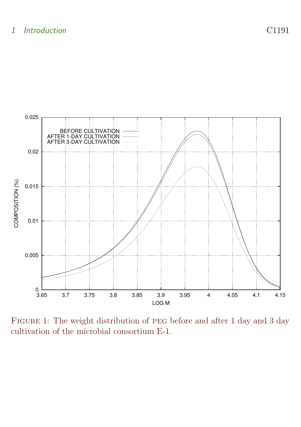

<span id="page-3-0"></span>Figure 1: The weight distribution of peg before and after 1 day and 3 day cultivation of the microbial consortium E-1.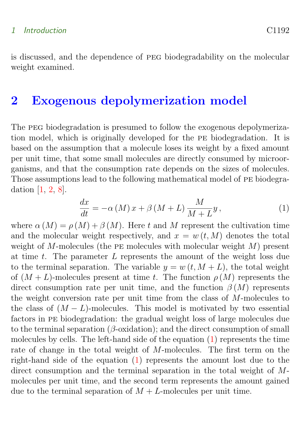#### <span id="page-4-2"></span>1 Introduction C1192

is discussed, and the dependence of peg biodegradability on the molecular weight examined.

## <span id="page-4-0"></span>2 Exogenous depolymerization model

The peg biodegradation is presumed to follow the exogenous depolymerization model, which is originally developed for the pe biodegradation. It is based on the assumption that a molecule loses its weight by a fixed amount per unit time, that some small molecules are directly consumed by microorganisms, and that the consumption rate depends on the sizes of molecules. Those assumptions lead to the following mathematical model of pe biodegradation [\[1,](#page-13-1) [2,](#page-15-0) [8\]](#page-15-2).

<span id="page-4-1"></span>
$$
\frac{dx}{dt} = -\alpha \left( M \right) x + \beta \left( M + L \right) \frac{M}{M + L} y, \tag{1}
$$

where  $\alpha(M) = \rho(M) + \beta(M)$ . Here t and M represent the cultivation time and the molecular weight respectively, and  $x = w(t, M)$  denotes the total weight of M-molecules (the PE molecules with molecular weight  $M$ ) present at time  $t$ . The parameter  $L$  represents the amount of the weight loss due to the terminal separation. The variable  $y = w(t, M + L)$ , the total weight of  $(M + L)$ -molecules present at time t. The function  $\rho(M)$  represents the direct consumption rate per unit time, and the function  $\beta(M)$  represents the weight conversion rate per unit time from the class of M-molecules to the class of  $(M - L)$ -molecules. This model is motivated by two essential factors in pe biodegradation: the gradual weight loss of large molecules due to the terminal separation ( $\beta$ -oxidation); and the direct consumption of small molecules by cells. The left-hand side of the equation [\(1\)](#page-4-1) represents the time rate of change in the total weight of M-molecules. The first term on the right-hand side of the equation [\(1\)](#page-4-1) represents the amount lost due to the direct consumption and the terminal separation in the total weight of Mmolecules per unit time, and the second term represents the amount gained due to the terminal separation of  $M + L$ -molecules per unit time.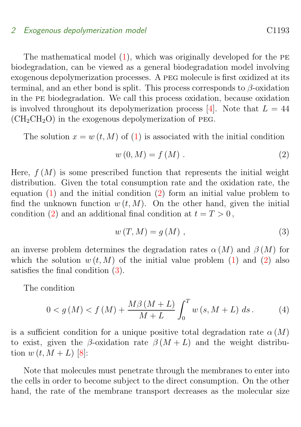#### <span id="page-5-2"></span>2 Exogenous depolymerization model contraction control control control control control control control control control control control control control control control control control control control control control control

The mathematical model  $(1)$ , which was originally developed for the PE biodegradation, can be viewed as a general biodegradation model involving exogenous depolymerization processes. A peg molecule is first oxidized at its terminal, and an ether bond is split. This process corresponds to  $\beta$ -oxidation in the pe biodegradation. We call this process oxidation, because oxidation is involved throughout its depolymerization process [\[4\]](#page-15-5). Note that  $L = 44$  $(CH_2CH_2O)$  in the exogenous depolymerization of PEG.

The solution  $x = w(t, M)$  of [\(1\)](#page-4-1) is associated with the initial condition

<span id="page-5-0"></span>
$$
w(0,M) = f(M) . \tag{2}
$$

Here,  $f(M)$  is some prescribed function that represents the initial weight distribution. Given the total consumption rate and the oxidation rate, the equation [\(1\)](#page-4-1) and the initial condition [\(2\)](#page-5-0) form an initial value problem to find the unknown function  $w(t, M)$ . On the other hand, given the initial condition [\(2\)](#page-5-0) and an additional final condition at  $t = T > 0$ ,

<span id="page-5-1"></span>
$$
w(T, M) = g(M) , \qquad (3)
$$

an inverse problem determines the degradation rates  $\alpha(M)$  and  $\beta(M)$  for which the solution  $w(t, M)$  of the initial value problem [\(1\)](#page-4-1) and [\(2\)](#page-5-0) also satisfies the final condition [\(3\)](#page-5-1).

The condition

$$
0 < g(M) < f(M) + \frac{M\beta(M+L)}{M+L} \int_0^T w(s, M+L) \, ds. \tag{4}
$$

is a sufficient condition for a unique positive total degradation rate  $\alpha(M)$ to exist, given the β-oxidation rate  $\beta(M+L)$  and the weight distribution  $w(t, M + L)$  [\[8\]](#page-15-2):

Note that molecules must penetrate through the membranes to enter into the cells in order to become subject to the direct consumption. On the other hand, the rate of the membrane transport decreases as the molecular size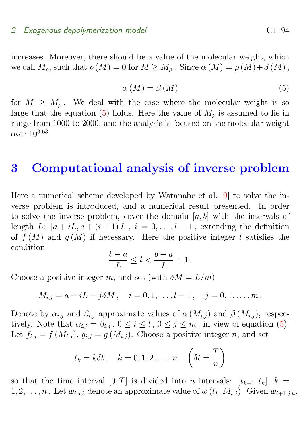#### <span id="page-6-2"></span>2 Exogenous depolymerization model C<sub>1194</sub> C<sub>1194</sub>

<span id="page-6-1"></span>increases. Moreover, there should be a value of the molecular weight, which we call  $M_{\rho}$ , such that  $\rho(M) = 0$  for  $M \geq M_{\rho}$ . Since  $\alpha(M) = \rho(M) + \beta(M)$ ,

$$
\alpha\left(M\right) = \beta\left(M\right) \tag{5}
$$

for  $M \geq M_{\rho}$ . We deal with the case where the molecular weight is so large that the equation [\(5\)](#page-6-1) holds. Here the value of  $M<sub>o</sub>$  is assumed to lie in range from 1000 to 2000, and the analysis is focused on the molecular weight over 10<sup>3</sup>.<sup>63</sup> .

### <span id="page-6-0"></span>3 Computational analysis of inverse problem

Here a numerical scheme developed by Watanabe et al. [\[9\]](#page-16-0) to solve the inverse problem is introduced, and a numerical result presented. In order to solve the inverse problem, cover the domain  $[a, b]$  with the intervals of length L:  $[a + iL, a + (i + 1) L], i = 0, \ldots, l - 1$ , extending the definition of  $f(M)$  and  $g(M)$  if necessary. Here the positive integer l satisfies the condition

$$
\frac{b-a}{L} \le l < \frac{b-a}{L} + 1 \, .
$$

Choose a positive integer m, and set (with  $\delta M = L/m$ )

$$
M_{i,j} = a + iL + j\delta M
$$
,  $i = 0, 1, ..., l - 1$ ,  $j = 0, 1, ..., m$ .

Denote by  $\alpha_{i,j}$  and  $\beta_{i,j}$  approximate values of  $\alpha(M_{i,j})$  and  $\beta(M_{i,j})$ , respectively. Note that  $\alpha_{i,j} = \beta_{i,j}$ ,  $0 \leq i \leq l$ ,  $0 \leq j \leq m$ , in view of equation [\(5\)](#page-6-1). Let  $f_{i,j} = f(M_{i,j}), g_{i,j} = g(M_{i,j}).$  Choose a positive integer n, and set

$$
t_k = k\delta t, \quad k = 0, 1, 2, \dots, n \quad \left(\delta t = \frac{T}{n}\right)
$$

so that the time interval [0, T] is divided into n intervals:  $[t_{k-1}, t_k], k =$  $1, 2, \ldots, n$ . Let  $w_{i,j,k}$  denote an approximate value of  $w(t_k, M_{i,j})$ . Given  $w_{i+1,j,k}$ ,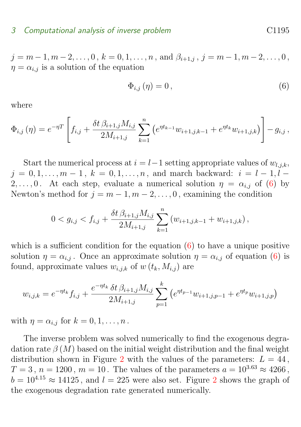#### 3 Computational analysis of inverse problem C1195

 $j = m-1, m-2, \ldots, 0, k = 0, 1, \ldots, n$ , and  $\beta_{i+1,j}, j = m-1, m-2, \ldots, 0$ ,  $\eta = \alpha_{i,j}$  is a solution of the equation

<span id="page-7-0"></span>
$$
\Phi_{i,j}\left(\eta\right) = 0\,,\tag{6}
$$

where

$$
\Phi_{i,j}(\eta) = e^{-\eta T} \left[ f_{i,j} + \frac{\delta t \,\beta_{i+1,j} M_{i,j}}{2M_{i+1,j}} \sum_{k=1}^n \left( e^{\eta t_{k-1}} w_{i+1,j,k-1} + e^{\eta t_k} w_{i+1,j,k} \right) \right] - g_{i,j},
$$

Start the numerical process at  $i = l-1$  setting appropriate values of  $w_{l,i,k}$ ,  $j = 0, 1, \ldots, m - 1, k = 0, 1, \ldots, n$ , and march backward:  $i = l - 1, l - 1$ 2, ..., 0. At each step, evaluate a numerical solution  $\eta = \alpha_{i,j}$  of [\(6\)](#page-7-0) by Newton's method for  $j = m - 1, m - 2, \ldots, 0$ , examining the condition

$$
0 < g_{i,j} < f_{i,j} + \frac{\delta t \, \beta_{i+1,j} M_{i,j}}{2M_{i+1,j}} \sum_{k=1}^n \left( w_{i+1,j,k-1} + w_{i+1,j,k} \right),
$$

which is a sufficient condition for the equation  $(6)$  to have a unique positive solution  $\eta = \alpha_{i,j}$ . Once an approximate solution  $\eta = \alpha_{i,j}$  of equation [\(6\)](#page-7-0) is found, approximate values  $w_{i,j,k}$  of  $w(t_k, M_{i,j})$  are

$$
w_{i,j,k} = e^{-\eta t_k} f_{i,j} + \frac{e^{-\eta t_k} \delta t \beta_{i+1,j} M_{i,j}}{2M_{i+1,j}} \sum_{p=1}^k (e^{\eta t_{p-1}} w_{i+1,j,p-1} + e^{\eta t_p} w_{i+1,j,p})
$$

with  $\eta = \alpha_{i,j}$  for  $k = 0, 1, \ldots, n$ .

The inverse problem was solved numerically to find the exogenous degradation rate  $\beta(M)$  based on the initial weight distribution and the final weight distribution shown in Figure [2](#page-8-0) with the values of the parameters:  $L = 44$ ,  $T = 3$ ,  $n = 1200$ ,  $m = 10$ . The values of the parameters  $a = 10^{3.63} \approx 4266$ ,  $b = 10^{4.15} \approx 14125$  $b = 10^{4.15} \approx 14125$  $b = 10^{4.15} \approx 14125$ , and  $l = 225$  were also set. Figure 2 shows the graph of the exogenous degradation rate generated numerically.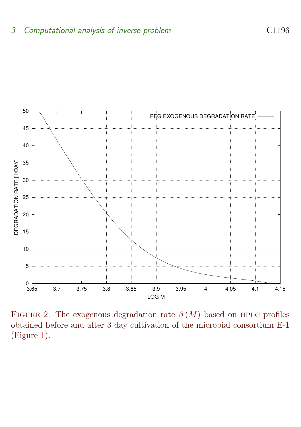

<span id="page-8-0"></span>FIGURE 2: The exogenous degradation rate  $\beta(M)$  based on HPLC profiles obtained before and after 3 day cultivation of the microbial consortium E-1 (Figure [1\)](#page-3-0).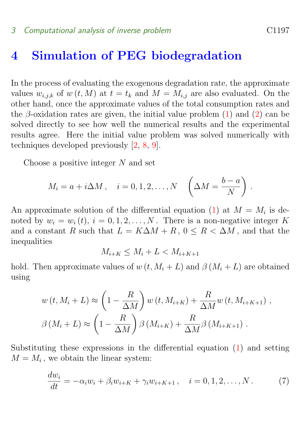### <span id="page-9-2"></span><span id="page-9-0"></span>4 Simulation of PEG biodegradation

In the process of evaluating the exogenous degradation rate, the approximate values  $w_{i,j,k}$  of  $w(t, M)$  at  $t = t_k$  and  $M = M_{i,j}$  are also evaluated. On the other hand, once the approximate values of the total consumption rates and the  $\beta$ -oxidation rates are given, the initial value problem [\(1\)](#page-4-1) and [\(2\)](#page-5-0) can be solved directly to see how well the numerical results and the experimental results agree. Here the initial value problem was solved numerically with techniques developed previously [\[2,](#page-15-0) [8,](#page-15-2) [9\]](#page-16-0).

Choose a positive integer  $N$  and set

$$
M_i = a + i\Delta M , \quad i = 0, 1, 2, \dots, N \quad \left(\Delta M = \frac{b-a}{N}\right) .
$$

An approximate solution of the differential equation [\(1\)](#page-4-1) at  $M = M_i$  is denoted by  $w_i = w_i(t)$ ,  $i = 0, 1, 2, ..., N$ . There is a non-negative integer K and a constant R such that  $L = K\Delta M + R$ ,  $0 \le R \le \Delta M$ , and that the inequalities

$$
M_{i+K} \le M_i + L < M_{i+K+1}
$$

hold. Then approximate values of  $w(t, M_i + L)$  and  $\beta(M_i + L)$  are obtained using

$$
w(t, M_i + L) \approx \left(1 - \frac{R}{\Delta M}\right) w(t, M_{i+K}) + \frac{R}{\Delta M} w(t, M_{i+K+1}),
$$
  

$$
\beta(M_i + L) \approx \left(1 - \frac{R}{\Delta M}\right) \beta(M_{i+K}) + \frac{R}{\Delta M} \beta(M_{i+K+1}).
$$

Substituting these expressions in the differential equation [\(1\)](#page-4-1) and setting  $M = M_i$ , we obtain the linear system:

<span id="page-9-1"></span>
$$
\frac{dw_i}{dt} = -\alpha_i w_i + \beta_i w_{i+K} + \gamma_i w_{i+K+1}, \quad i = 0, 1, 2, ..., N. \tag{7}
$$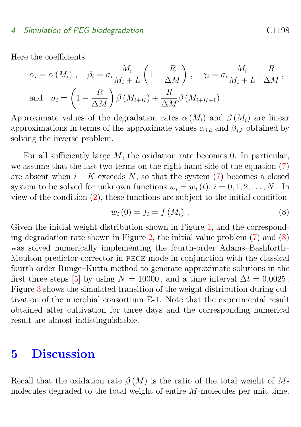#### <span id="page-10-2"></span>4 Simulation of PEG biodegradation C1198

Here the coefficients

$$
\alpha_{i} = \alpha(M_{i}), \quad \beta_{i} = \sigma_{i} \frac{M_{i}}{M_{i} + L} \left(1 - \frac{R}{\Delta M}\right), \quad \gamma_{i} = \sigma_{i} \frac{M_{i}}{M_{i} + L} \cdot \frac{R}{\Delta M},
$$
  
and 
$$
\sigma_{i} = \left(1 - \frac{R}{\Delta M}\right) \beta(M_{i+K}) + \frac{R}{\Delta M} \beta(M_{i+K+1}).
$$

Approximate values of the degradation rates  $\alpha(M_i)$  and  $\beta(M_i)$  are linear approximations in terms of the approximate values  $\alpha_{i,k}$  and  $\beta_{i,k}$  obtained by solving the inverse problem.

For all sufficiently large  $M$ , the oxidation rate becomes 0. In particular, we assume that the last two terms on the right-hand side of the equation [\(7\)](#page-9-1) are absent when  $i + K$  exceeds N, so that the system [\(7\)](#page-9-1) becomes a closed system to be solved for unknown functions  $w_i = w_i(t)$ ,  $i = 0, 1, 2, ..., N$ . In view of the condition [\(2\)](#page-5-0), these functions are subject to the initial condition

<span id="page-10-1"></span>
$$
w_i(0) = f_i = f(M_i) . \tag{8}
$$

Given the initial weight distribution shown in Figure [1,](#page-3-0) and the correspond-ing degradation rate shown in Figure [2,](#page-8-0) the initial value problem  $(7)$  and  $(8)$ was solved numerically implementing the fourth-order Adams–Bashforth– Moulton predictor-corrector in pece mode in conjunction with the classical fourth order Runge–Kutta method to generate approximate solutions in the first three steps [\[5\]](#page-15-6) by using  $N = 10000$ , and a time interval  $\Delta t = 0.0025$ . Figure [3](#page-11-0) shows the simulated transition of the weight distribution during cultivation of the microbial consortium E-1. Note that the experimental result obtained after cultivation for three days and the corresponding numerical result are almost indistinguishable.

### <span id="page-10-0"></span>5 Discussion

Recall that the oxidation rate  $\beta(M)$  is the ratio of the total weight of Mmolecules degraded to the total weight of entire M-molecules per unit time.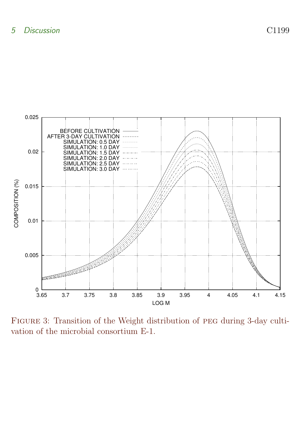

<span id="page-11-0"></span>Figure 3: Transition of the Weight distribution of peg during 3-day cultivation of the microbial consortium E-1.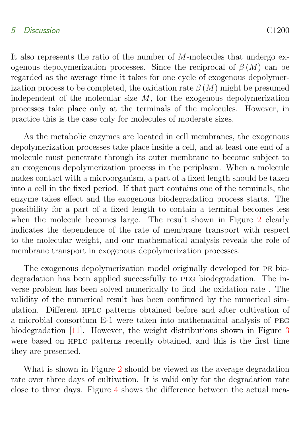#### <span id="page-12-0"></span>5 Discussion C1200

It also represents the ratio of the number of M-molecules that undergo exogenous depolymerization processes. Since the reciprocal of  $\beta(M)$  can be regarded as the average time it takes for one cycle of exogenous depolymerization process to be completed, the oxidation rate  $\beta(M)$  might be presumed independent of the molecular size  $M$ , for the exogenous depolymerization processes take place only at the terminals of the molecules. However, in practice this is the case only for molecules of moderate sizes.

As the metabolic enzymes are located in cell membranes, the exogenous depolymerization processes take place inside a cell, and at least one end of a molecule must penetrate through its outer membrane to become subject to an exogenous depolymerization process in the periplasm. When a molecule makes contact with a microorganism, a part of a fixed length should be taken into a cell in the fixed period. If that part contains one of the terminals, the enzyme takes effect and the exogenous biodegradation process starts. The possibility for a part of a fixed length to contain a terminal becomes less when the molecule becomes large. The result shown in Figure [2](#page-8-0) clearly indicates the dependence of the rate of membrane transport with respect to the molecular weight, and our mathematical analysis reveals the role of membrane transport in exogenous depolymerization processes.

The exogenous depolymerization model originally developed for pe biodegradation has been applied successfully to peg biodegradation. The inverse problem has been solved numerically to find the oxidation rate . The validity of the numerical result has been confirmed by the numerical simulation. Different hplc patterns obtained before and after cultivation of a microbial consortium E-1 were taken into mathematical analysis of peg biodegradation [\[11\]](#page-16-4). However, the weight distributions shown in Figure [3](#page-11-0) were based on HPLC patterns recently obtained, and this is the first time they are presented.

What is shown in Figure [2](#page-8-0) should be viewed as the average degradation rate over three days of cultivation. It is valid only for the degradation rate close to three days. Figure [4](#page-14-0) shows the difference between the actual mea-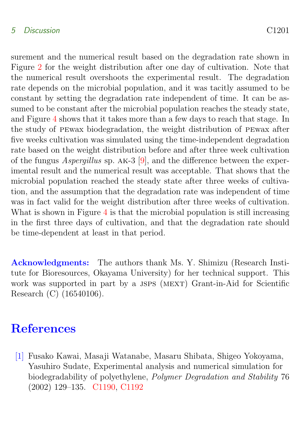#### <span id="page-13-2"></span>5 Discussion C1201

surement and the numerical result based on the degradation rate shown in Figure [2](#page-8-0) for the weight distribution after one day of cultivation. Note that the numerical result overshoots the experimental result. The degradation rate depends on the microbial population, and it was tacitly assumed to be constant by setting the degradation rate independent of time. It can be assumed to be constant after the microbial population reaches the steady state, and Figure [4](#page-14-0) shows that it takes more than a few days to reach that stage. In the study of pewax biodegradation, the weight distribution of pewax after five weeks cultivation was simulated using the time-independent degradation rate based on the weight distribution before and after three week cultivation of the fungus Aspergillus sp. ak-3 [\[9\]](#page-16-0), and the difference between the experimental result and the numerical result was acceptable. That shows that the microbial population reached the steady state after three weeks of cultivation, and the assumption that the degradation rate was independent of time was in fact valid for the weight distribution after three weeks of cultivation. What is shown in Figure [4](#page-14-0) is that the microbial population is still increasing in the first three days of cultivation, and that the degradation rate should be time-dependent at least in that period.

Acknowledgments: The authors thank Ms. Y. Shimizu (Research Institute for Bioresources, Okayama University) for her technical support. This work was supported in part by a JSPS (MEXT) Grant-in-Aid for Scientific Research (C) (16540106).

# **References**

<span id="page-13-1"></span><span id="page-13-0"></span>[1] Fusako Kawai, Masaji Watanabe, Masaru Shibata, Shigeo Yokoyama, Yasuhiro Sudate, Experimental analysis and numerical simulation for biodegradability of polyethylene, Polymer Degradation and Stability 76 (2002) 129–135. [C1190,](#page-2-0) [C1192](#page-4-2)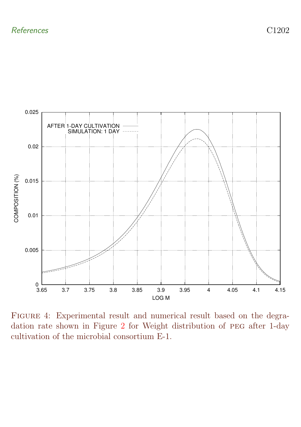

<span id="page-14-0"></span>FIGURE 4: Experimental result and numerical result based on the degradation rate shown in Figure [2](#page-8-0) for Weight distribution of peg after 1-day cultivation of the microbial consortium E-1.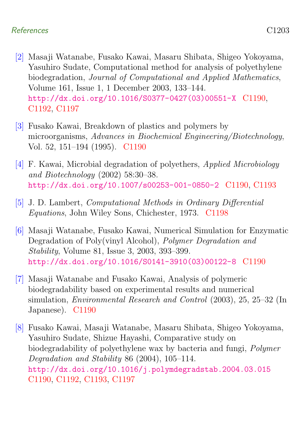#### References C1203

- <span id="page-15-0"></span>[2] Masaji Watanabe, Fusako Kawai, Masaru Shibata, Shigeo Yokoyama, Yasuhiro Sudate, Computational method for analysis of polyethylene biodegradation, Journal of Computational and Applied Mathematics, Volume 161, Issue 1, 1 December 2003, 133–144. [http://dx.doi.org/10.1016/S0377-0427\(03\)00551-X](http://dx.doi.org/10.1016/S0377-0427(03)00551-X) [C1190,](#page-2-0) [C1192,](#page-4-2) [C1197](#page-9-2)
- <span id="page-15-3"></span>[3] Fusako Kawai, Breakdown of plastics and polymers by microorganisms, Advances in Biochemical Engineering/Biotechnology, Vol. 52, 151–194 (1995). [C1190](#page-2-0)
- <span id="page-15-5"></span>[4] F. Kawai, Microbial degradation of polyethers, Applied Microbiology and Biotechnology (2002) 58:30–38. <http://dx.doi.org/10.1007/s00253-001-0850-2> [C1190,](#page-2-0) [C1193](#page-5-2)
- <span id="page-15-6"></span>[5] J. D. Lambert, Computational Methods in Ordinary Differential Equations, John Wiley Sons, Chichester, 1973. [C1198](#page-10-2)
- <span id="page-15-4"></span>[6] Masaji Watanabe, Fusako Kawai, Numerical Simulation for Enzymatic Degradation of Poly(vinyl Alcohol), Polymer Degradation and Stability, Volume 81, Issue 3, 2003, 393–399. [http://dx.doi.org/10.1016/S0141-3910\(03\)00122-8](http://dx.doi.org/10.1016/S0141-3910(03)00122-8) [C1190](#page-2-0)
- <span id="page-15-1"></span>[7] Masaji Watanabe and Fusako Kawai, Analysis of polymeric biodegradability based on experimental results and numerical simulation, Environmental Research and Control (2003), 25, 25–32 (In Japanese). [C1190](#page-2-0)
- <span id="page-15-2"></span>[8] Fusako Kawai, Masaji Watanabe, Masaru Shibata, Shigeo Yokoyama, Yasuhiro Sudate, Shizue Hayashi, Comparative study on biodegradability of polyethylene wax by bacteria and fungi, Polymer Degradation and Stability 86 (2004), 105–114. <http://dx.doi.org/10.1016/j.polymdegradstab.2004.03.015> [C1190,](#page-2-0) [C1192,](#page-4-2) [C1193,](#page-5-2) [C1197](#page-9-2)